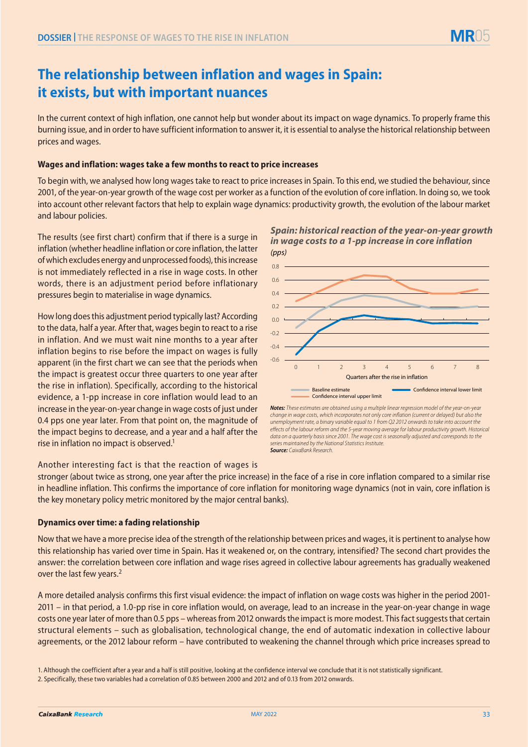# **The relationship between inflation and wages in Spain: it exists, but with important nuances**

In the current context of high inflation, one cannot help but wonder about its impact on wage dynamics. To properly frame this burning issue, and in order to have sufficient information to answer it, it is essential to analyse the historical relationship between prices and wages.

### **Wages and inflation: wages take a few months to react to price increases**

To begin with, we analysed how long wages take to react to price increases in Spain. To this end, we studied the behaviour, since 2001, of the year-on-year growth of the wage cost per worker as a function of the evolution of core inflation. In doing so, we took into account other relevant factors that help to explain wage dynamics: productivity growth, the evolution of the labour market and labour policies.

The results (see first chart) confirm that if there is a surge in inflation (whether headline inflation or core inflation, the latter of which excludes energy and unprocessed foods), this increase is not immediately reflected in a rise in wage costs. In other words, there is an adjustment period before inflationary pressures begin to materialise in wage dynamics.

How long does this adjustment period typically last? According to the data, half a year. After that, wages begin to react to a rise in inflation. And we must wait nine months to a year after inflation begins to rise before the impact on wages is fully apparent (in the first chart we can see that the periods when the impact is greatest occur three quarters to one year after the rise in inflation). Specifically, according to the historical evidence, a 1-pp increase in core inflation would lead to an increase in the year-on-year change in wage costs of just under 0.4 pps one year later. From that point on, the magnitude of the impact begins to decrease, and a year and a half after the rise in inflation no impact is observed.<sup>1</sup>





*Notes: These estimates are obtained using a multiple linear regression model of the year-on-year change in wage costs, which incorporates not only core inflation (current or delayed) but also the unemployment rate, a binary variable equal to 1 from Q2 2012 onwards to take into account the effects of the labour reform and the 5-year moving average for labour productivity growth. Historical data on a quarterly basis since 2001. The wage cost is seasonally adjusted and corresponds to the series maintained by the National Statistics Institute. Source: CaixaBank Research.*

#### Another interesting fact is that the reaction of wages is

stronger (about twice as strong, one year after the price increase) in the face of a rise in core inflation compared to a similar rise in headline inflation. This confirms the importance of core inflation for monitoring wage dynamics (not in vain, core inflation is the key monetary policy metric monitored by the major central banks).

#### **Dynamics over time: a fading relationship**

Now that we have a more precise idea of the strength of the relationship between prices and wages, it is pertinent to analyse how this relationship has varied over time in Spain. Has it weakened or, on the contrary, intensified? The second chart provides the answer: the correlation between core inflation and wage rises agreed in collective labour agreements has gradually weakened over the last few years.<sup>2</sup>

A more detailed analysis confirms this first visual evidence: the impact of inflation on wage costs was higher in the period 2001- 2011 – in that period, a 1.0-pp rise in core inflation would, on average, lead to an increase in the year-on-year change in wage costs one year later of more than 0.5 pps – whereas from 2012 onwards the impact is more modest. This fact suggests that certain structural elements – such as globalisation, technological change, the end of automatic indexation in collective labour agreements, or the 2012 labour reform – have contributed to weakening the channel through which price increases spread to

<sup>1.</sup> Although the coefficient after a year and a half is still positive, looking at the confidence interval we conclude that it is not statistically significant.